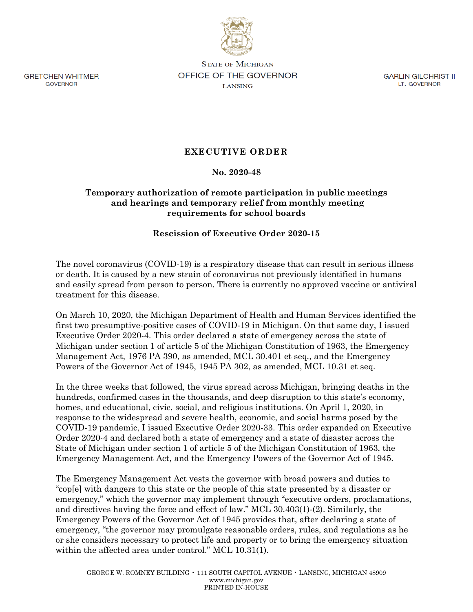

**GRETCHEN WHITMER GOVERNOR** 

**STATE OF MICHIGAN** OFFICE OF THE GOVERNOR **LANSING** 

**GARLIN GILCHRIST II** LT. GOVERNOR

## **EXECUTIVE ORDER**

## **No. 2020-48**

## **Temporary authorization of remote participation in public meetings and hearings and temporary relief from monthly meeting requirements for school boards**

## **Rescission of Executive Order 2020-15**

The novel coronavirus (COVID-19) is a respiratory disease that can result in serious illness or death. It is caused by a new strain of coronavirus not previously identified in humans and easily spread from person to person. There is currently no approved vaccine or antiviral treatment for this disease.

On March 10, 2020, the Michigan Department of Health and Human Services identified the first two presumptive-positive cases of COVID-19 in Michigan. On that same day, I issued Executive Order 2020-4. This order declared a state of emergency across the state of Michigan under section 1 of article 5 of the Michigan Constitution of 1963, the Emergency Management Act, 1976 PA 390, as amended, MCL 30.401 et seq., and the Emergency Powers of the Governor Act of 1945, 1945 PA 302, as amended, MCL 10.31 et seq.

In the three weeks that followed, the virus spread across Michigan, bringing deaths in the hundreds, confirmed cases in the thousands, and deep disruption to this state's economy, homes, and educational, civic, social, and religious institutions. On April 1, 2020, in response to the widespread and severe health, economic, and social harms posed by the COVID-19 pandemic, I issued Executive Order 2020-33. This order expanded on Executive Order 2020-4 and declared both a state of emergency and a state of disaster across the State of Michigan under section 1 of article 5 of the Michigan Constitution of 1963, the Emergency Management Act, and the Emergency Powers of the Governor Act of 1945.

The Emergency Management Act vests the governor with broad powers and duties to "cop[e] with dangers to this state or the people of this state presented by a disaster or emergency," which the governor may implement through "executive orders, proclamations, and directives having the force and effect of law." MCL 30.403(1)-(2). Similarly, the Emergency Powers of the Governor Act of 1945 provides that, after declaring a state of emergency, "the governor may promulgate reasonable orders, rules, and regulations as he or she considers necessary to protect life and property or to bring the emergency situation within the affected area under control." MCL 10.31(1).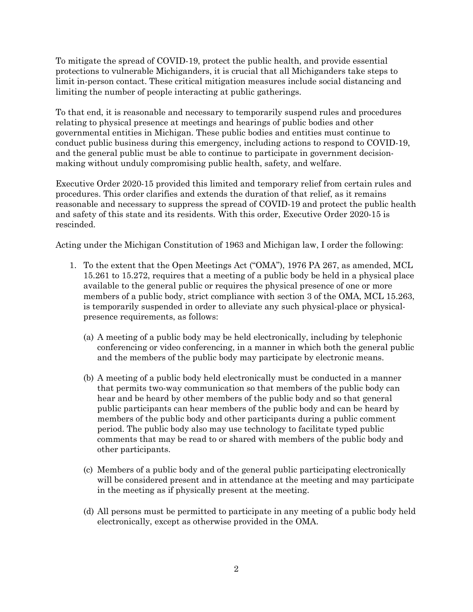To mitigate the spread of COVID-19, protect the public health, and provide essential protections to vulnerable Michiganders, it is crucial that all Michiganders take steps to limit in-person contact. These critical mitigation measures include social distancing and limiting the number of people interacting at public gatherings.

To that end, it is reasonable and necessary to temporarily suspend rules and procedures relating to physical presence at meetings and hearings of public bodies and other governmental entities in Michigan. These public bodies and entities must continue to conduct public business during this emergency, including actions to respond to COVID-19, and the general public must be able to continue to participate in government decisionmaking without unduly compromising public health, safety, and welfare.

Executive Order 2020-15 provided this limited and temporary relief from certain rules and procedures. This order clarifies and extends the duration of that relief, as it remains reasonable and necessary to suppress the spread of COVID-19 and protect the public health and safety of this state and its residents. With this order, Executive Order 2020-15 is rescinded.

Acting under the Michigan Constitution of 1963 and Michigan law, I order the following:

- 1. To the extent that the Open Meetings Act ("OMA"), 1976 PA 267, as amended, MCL 15.261 to 15.272, requires that a meeting of a public body be held in a physical place available to the general public or requires the physical presence of one or more members of a public body, strict compliance with section 3 of the OMA, MCL 15.263, is temporarily suspended in order to alleviate any such physical-place or physicalpresence requirements, as follows:
	- (a) A meeting of a public body may be held electronically, including by telephonic conferencing or video conferencing, in a manner in which both the general public and the members of the public body may participate by electronic means.
	- (b) A meeting of a public body held electronically must be conducted in a manner that permits two-way communication so that members of the public body can hear and be heard by other members of the public body and so that general public participants can hear members of the public body and can be heard by members of the public body and other participants during a public comment period. The public body also may use technology to facilitate typed public comments that may be read to or shared with members of the public body and other participants.
	- (c) Members of a public body and of the general public participating electronically will be considered present and in attendance at the meeting and may participate in the meeting as if physically present at the meeting.
	- (d) All persons must be permitted to participate in any meeting of a public body held electronically, except as otherwise provided in the OMA.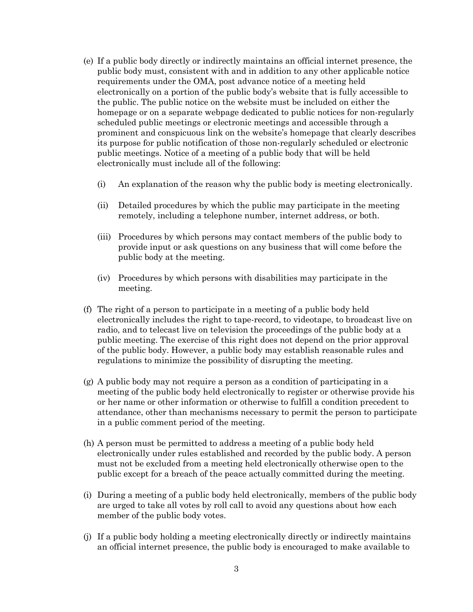- (e) If a public body directly or indirectly maintains an official internet presence, the public body must, consistent with and in addition to any other applicable notice requirements under the OMA, post advance notice of a meeting held electronically on a portion of the public body's website that is fully accessible to the public. The public notice on the website must be included on either the homepage or on a separate webpage dedicated to public notices for non-regularly scheduled public meetings or electronic meetings and accessible through a prominent and conspicuous link on the website's homepage that clearly describes its purpose for public notification of those non-regularly scheduled or electronic public meetings. Notice of a meeting of a public body that will be held electronically must include all of the following:
	- (i) An explanation of the reason why the public body is meeting electronically.
	- (ii) Detailed procedures by which the public may participate in the meeting remotely, including a telephone number, internet address, or both.
	- (iii) Procedures by which persons may contact members of the public body to provide input or ask questions on any business that will come before the public body at the meeting.
	- (iv) Procedures by which persons with disabilities may participate in the meeting.
- (f) The right of a person to participate in a meeting of a public body held electronically includes the right to tape-record, to videotape, to broadcast live on radio, and to telecast live on television the proceedings of the public body at a public meeting. The exercise of this right does not depend on the prior approval of the public body. However, a public body may establish reasonable rules and regulations to minimize the possibility of disrupting the meeting.
- (g) A public body may not require a person as a condition of participating in a meeting of the public body held electronically to register or otherwise provide his or her name or other information or otherwise to fulfill a condition precedent to attendance, other than mechanisms necessary to permit the person to participate in a public comment period of the meeting.
- (h) A person must be permitted to address a meeting of a public body held electronically under rules established and recorded by the public body. A person must not be excluded from a meeting held electronically otherwise open to the public except for a breach of the peace actually committed during the meeting.
- (i) During a meeting of a public body held electronically, members of the public body are urged to take all votes by roll call to avoid any questions about how each member of the public body votes.
- (j) If a public body holding a meeting electronically directly or indirectly maintains an official internet presence, the public body is encouraged to make available to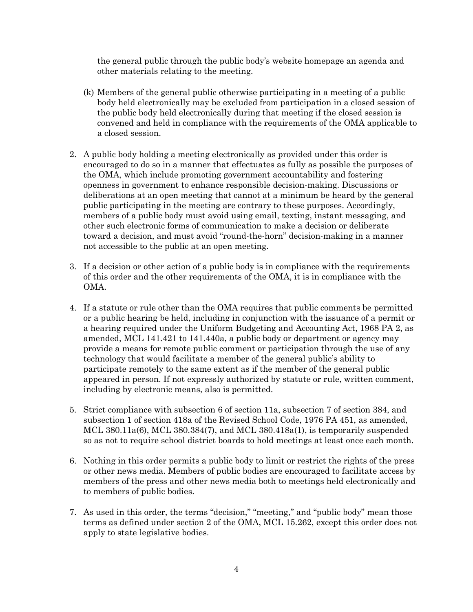the general public through the public body's website homepage an agenda and other materials relating to the meeting.

- (k) Members of the general public otherwise participating in a meeting of a public body held electronically may be excluded from participation in a closed session of the public body held electronically during that meeting if the closed session is convened and held in compliance with the requirements of the OMA applicable to a closed session.
- 2. A public body holding a meeting electronically as provided under this order is encouraged to do so in a manner that effectuates as fully as possible the purposes of the OMA, which include promoting government accountability and fostering openness in government to enhance responsible decision-making. Discussions or deliberations at an open meeting that cannot at a minimum be heard by the general public participating in the meeting are contrary to these purposes. Accordingly, members of a public body must avoid using email, texting, instant messaging, and other such electronic forms of communication to make a decision or deliberate toward a decision, and must avoid "round-the-horn" decision-making in a manner not accessible to the public at an open meeting.
- 3. If a decision or other action of a public body is in compliance with the requirements of this order and the other requirements of the OMA, it is in compliance with the OMA.
- 4. If a statute or rule other than the OMA requires that public comments be permitted or a public hearing be held, including in conjunction with the issuance of a permit or a hearing required under the Uniform Budgeting and Accounting Act, 1968 PA 2, as amended, MCL 141.421 to 141.440a, a public body or department or agency may provide a means for remote public comment or participation through the use of any technology that would facilitate a member of the general public's ability to participate remotely to the same extent as if the member of the general public appeared in person. If not expressly authorized by statute or rule, written comment, including by electronic means, also is permitted.
- 5. Strict compliance with subsection 6 of section 11a, subsection 7 of section 384, and subsection 1 of section 418a of the Revised School Code, 1976 PA 451, as amended, MCL 380.11a(6), MCL 380.384(7), and MCL 380.418a(1), is temporarily suspended so as not to require school district boards to hold meetings at least once each month.
- 6. Nothing in this order permits a public body to limit or restrict the rights of the press or other news media. Members of public bodies are encouraged to facilitate access by members of the press and other news media both to meetings held electronically and to members of public bodies.
- 7. As used in this order, the terms "decision," "meeting," and "public body" mean those terms as defined under section 2 of the OMA, MCL 15.262, except this order does not apply to state legislative bodies.